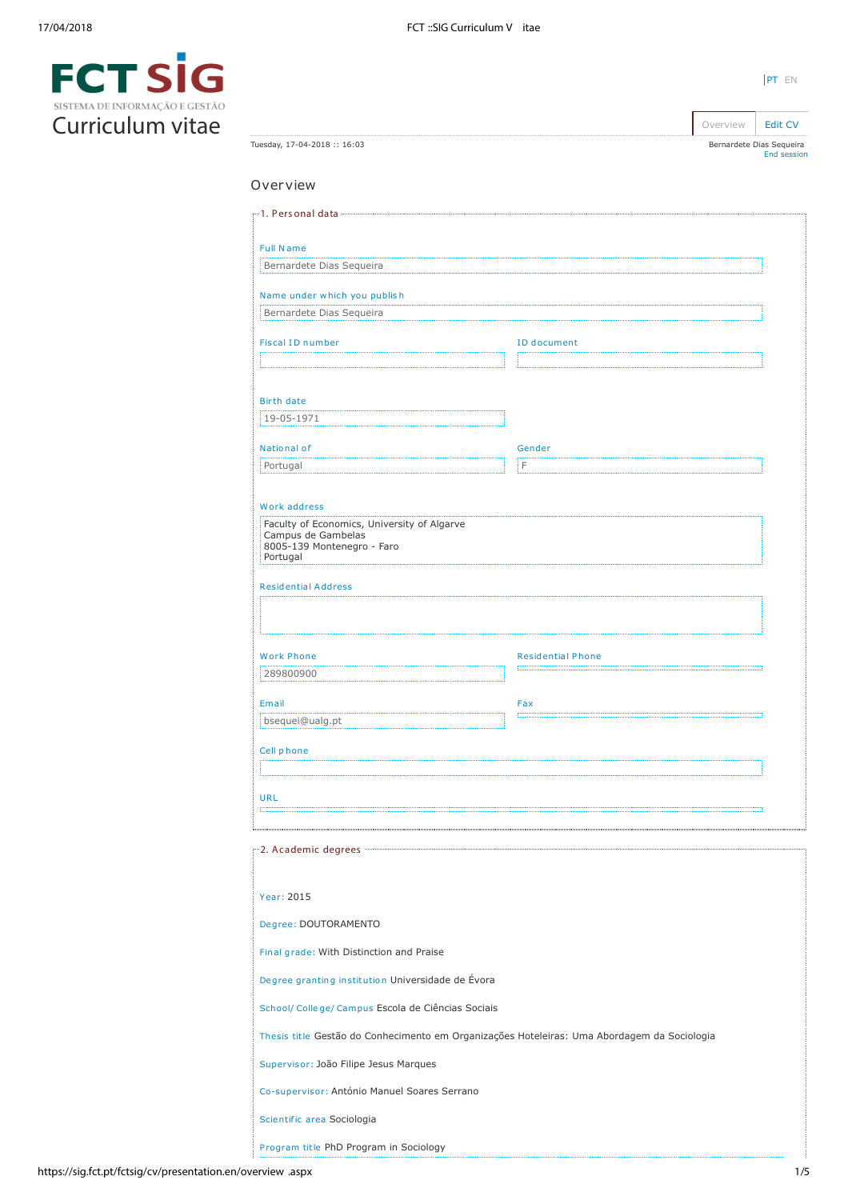| SISTEMA DE INFORMAÇÃO E GESTÃO |
|--------------------------------|
| Curriculum vitae               |

Tuesday, 17-04-2018 :: 16:03

| Overview                                                                                                    |                          |  |  |  |  |  |
|-------------------------------------------------------------------------------------------------------------|--------------------------|--|--|--|--|--|
|                                                                                                             |                          |  |  |  |  |  |
| <b>Full Name</b>                                                                                            |                          |  |  |  |  |  |
| Bernardete Dias Sequeira                                                                                    |                          |  |  |  |  |  |
| Name under which you publish                                                                                |                          |  |  |  |  |  |
| Bernardete Dias Sequeira                                                                                    |                          |  |  |  |  |  |
| <b>Fiscal ID number</b>                                                                                     | <b>ID</b> document       |  |  |  |  |  |
|                                                                                                             |                          |  |  |  |  |  |
|                                                                                                             |                          |  |  |  |  |  |
| <b>Birth date</b><br>19-05-1971                                                                             |                          |  |  |  |  |  |
|                                                                                                             |                          |  |  |  |  |  |
| National of<br>Portugal                                                                                     | Gender<br>İF             |  |  |  |  |  |
|                                                                                                             |                          |  |  |  |  |  |
| Work address                                                                                                |                          |  |  |  |  |  |
| Faculty of Economics, University of Algarve<br>Campus de Gambelas<br>8005-139 Montenegro - Faro<br>Portugal |                          |  |  |  |  |  |
| <b>Residential Address</b>                                                                                  |                          |  |  |  |  |  |
|                                                                                                             |                          |  |  |  |  |  |
|                                                                                                             |                          |  |  |  |  |  |
| <b>Work Phone</b>                                                                                           | <b>Residential Phone</b> |  |  |  |  |  |
| 289800900                                                                                                   |                          |  |  |  |  |  |
| Email                                                                                                       | Fax                      |  |  |  |  |  |
| bsequei@ualg.pt                                                                                             |                          |  |  |  |  |  |
| Cell phone                                                                                                  |                          |  |  |  |  |  |
|                                                                                                             |                          |  |  |  |  |  |
| URL                                                                                                         |                          |  |  |  |  |  |
|                                                                                                             |                          |  |  |  |  |  |
|                                                                                                             |                          |  |  |  |  |  |
|                                                                                                             |                          |  |  |  |  |  |
| Year: 2015                                                                                                  |                          |  |  |  |  |  |
| Degree: DOUTORAMENTO                                                                                        |                          |  |  |  |  |  |
| Final grade: With Distinction and Praise                                                                    |                          |  |  |  |  |  |
| Degree granting institution Universidade de Évora                                                           |                          |  |  |  |  |  |
| School/ College/ Campus Escola de Ciências Sociais                                                          |                          |  |  |  |  |  |
| Thesis title Gestão do Conhecimento em Organizações Hoteleiras: Uma Abordagem da Sociologia                 |                          |  |  |  |  |  |
| Supervisor: João Filipe Jesus Marques                                                                       |                          |  |  |  |  |  |
| Co-supervisor: António Manuel Soares Serrano                                                                |                          |  |  |  |  |  |
| Scientific area Sociologia                                                                                  |                          |  |  |  |  |  |
| Program title PhD Program in Sociology                                                                      |                          |  |  |  |  |  |

[PT](https://sig.fct.pt/fctsig/cv/presentation.pt/overview.aspx) EN

Overview **[Edit CV](https://sig.fct.pt/fctsig/cv/presentation.en/editCV.aspx)** 

Bernardete Dias Sequeira [End session](https://sig.fct.pt/fctsig/cv/scripts/logout.aspx)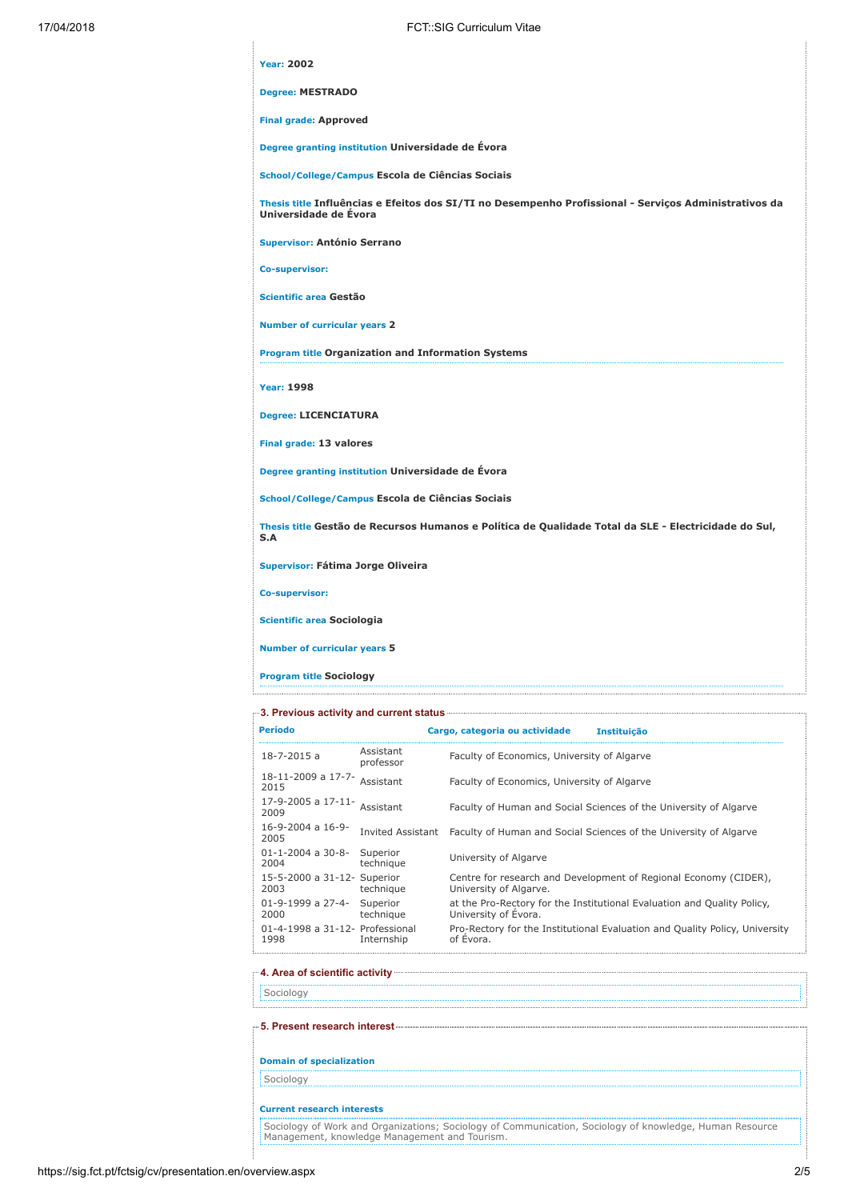| <b>Year: 2002</b>                                                                                                              |
|--------------------------------------------------------------------------------------------------------------------------------|
| <b>Degree: MESTRADO</b>                                                                                                        |
| <b>Final grade: Approved</b>                                                                                                   |
| Degree granting institution Universidade de Évora                                                                              |
| School/College/Campus Escola de Ciências Sociais                                                                               |
| Thesis title Influências e Efeitos dos SI/TI no Desempenho Profissional - Serviços Administrativos da<br>Universidade de Évora |
| <b>Supervisor: António Serrano</b>                                                                                             |
| Co-supervisor:                                                                                                                 |
| Scientific area Gestão                                                                                                         |
| <b>Number of curricular years 2</b>                                                                                            |
| <b>Program title Organization and Information Systems</b>                                                                      |
| <b>Year: 1998</b>                                                                                                              |
| <b>Degree: LICENCIATURA</b>                                                                                                    |
| Final grade: 13 valores                                                                                                        |
| Degree granting institution Universidade de Évora                                                                              |
| School/College/Campus Escola de Ciências Sociais                                                                               |
| Thesis title Gestão de Recursos Humanos e Política de Qualidade Total da SLE - Electricidade do Sul,<br>S.A                    |
| Supervisor: Fátima Jorge Oliveira                                                                                              |
| Co-supervisor:                                                                                                                 |
| Scientific area Sociologia                                                                                                     |
| <b>Number of curricular years 5</b>                                                                                            |
|                                                                                                                                |

Program title Sociology 

# 3. Previous activity and current status

| <b>Período</b>                          |                        | Cargo, categoria ou actividade              | <b>Instituição</b>                                                          |
|-----------------------------------------|------------------------|---------------------------------------------|-----------------------------------------------------------------------------|
| $18 - 7 - 2015$ a                       | Assistant<br>professor | Faculty of Economics, University of Algarve |                                                                             |
| 18-11-2009 a 17-7-<br>2015              | Assistant              | Faculty of Economics, University of Algarve |                                                                             |
| 17-9-2005 a 17-11- Assistant<br>2009    |                        |                                             | Faculty of Human and Social Sciences of the University of Algarve           |
| 16-9-2004 a 16-9-<br>2005               | Invited Assistant      |                                             | Faculty of Human and Social Sciences of the University of Algarve           |
| 01-1-2004 a 30-8-<br>2004               | Superior<br>technique  | University of Algarve                       |                                                                             |
| 15-5-2000 a 31-12- Superior<br>2003     | technique              | University of Algarve.                      | Centre for research and Development of Regional Economy (CIDER),            |
| 01-9-1999 a 27-4-<br>2000               | Superior<br>technique  | University of Evora.                        | at the Pro-Rectory for the Institutional Evaluation and Quality Policy,     |
| 01-4-1998 a 31-12- Professional<br>1998 | Internship             | of Evora.                                   | Pro-Rectory for the Institutional Evaluation and Quality Policy, University |

# 4. Area of scientific activity

Sociology

# 5. Present research interest Domain of specialization **Sociology** Current research interests Sociology of Work and Organizations; Sociology of Communication, Sociology of knowledge, Human Resource Management, knowledge Management and Tourism.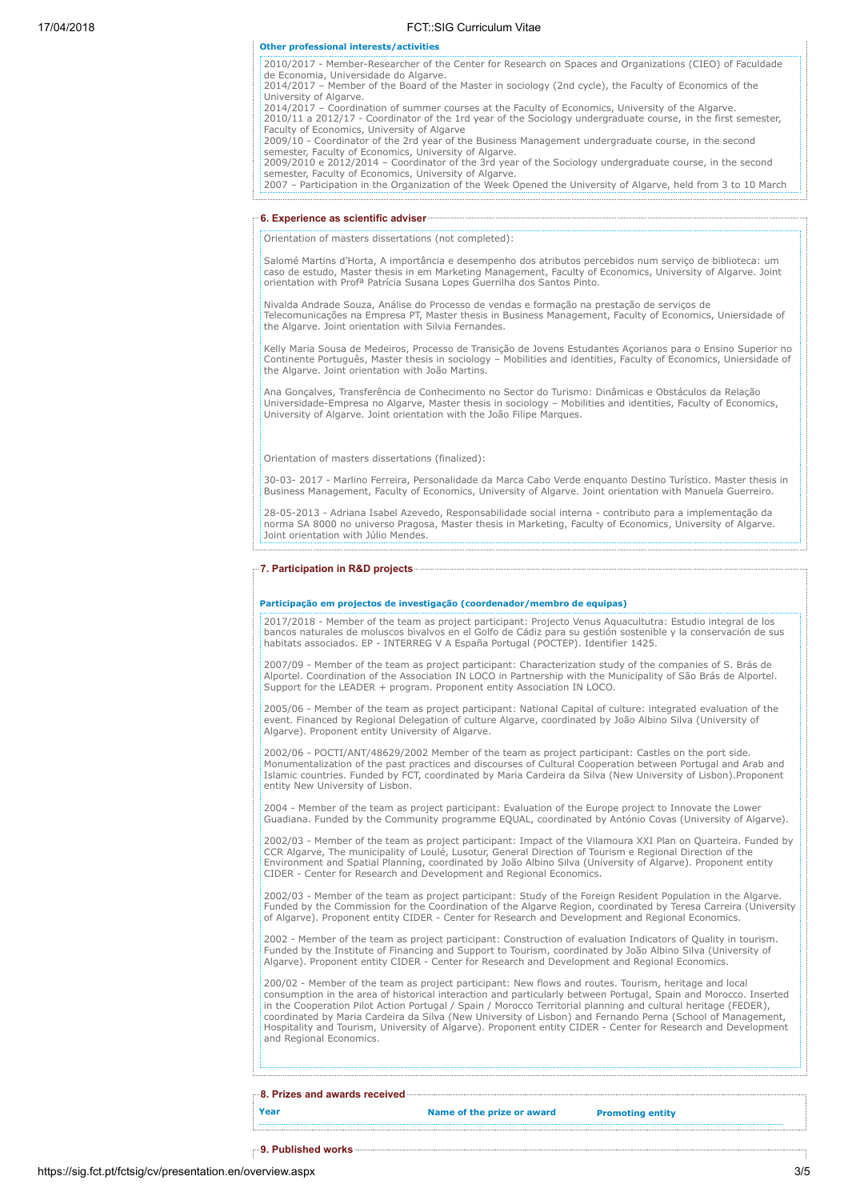# 17/04/2018 FCT::SIG Curriculum Vitae

# Other professional interests/activities

2010/2017 - Member-Researcher of the Center for Research on Spaces and Organizations (CIEO) of Faculdade de Economia, Universidade do Algarve.

2014/2017 – Member of the Board of the Master in sociology (2nd cycle), the Faculty of Economics of the University of Algarve.

2014/2017 – Coordination of summer courses at the Faculty of Economics, University of the Algarve. 2010/11 a 2012/17 - Coordinator of the 1rd year of the Sociology undergraduate course, in the first semester,

Faculty of Economics, University of Algarve 2009/10 - Coordinator of the 2rd year of the Business Management undergraduate course, in the second semester, Faculty of Economics, University of Algarve.

2009/2010 e 2012/2014 – Coordinator of the 3rd year of the Sociology undergraduate course, in the second

semester, Faculty of Economics, University of Algarve. 2007 – Participation in the Organization of the Week Opened the University of Algarve, held from 3 to 10 March

### 6. Experience as scientific adviser

Orientation of masters dissertations (not completed):

Salomé Martins d'Horta, A importância e desempenho dos atributos percebidos num serviço de biblioteca: um caso de estudo, Master thesis in em Marketing Management, Faculty of Economics, University of Algarve. Joint<br>orientation with Profª Patrícia Susana Lopes Guerrilha dos Santos Pinto.

Nivalda Andrade Souza, Análise do Processo de vendas e formação na prestação de serviços de Telecomunicações na Empresa PT, Master thesis in Business Management, Faculty of Economics, Uniersidade of the Algarve. Joint orientation with Silvia Fernandes.

Kelly Maria Sousa de Medeiros, Processo de Transição de Jovens Estudantes Açorianos para o Ensino Superior no Continente Português, Master thesis in sociology – Mobilities and identities, Faculty of Economics, Uniersidade of the Algarve. Joint orientation with João Martins.

Ana Gonçalves, Transferência de Conhecimento no Sector do Turismo: Dinâmicas e Obstáculos da Relação Universidade-Empresa no Algarve, Master thesis in sociology – Mobilities and identities, Faculty of Economics, University of Algarve. Joint orientation with the João Filipe Marques.

Orientation of masters dissertations (finalized):

30-03- 2017 - Marlino Ferreira, Personalidade da Marca Cabo Verde enquanto Destino Turístico. Master thesis in Business Management, Faculty of Economics, University of Algarve. Joint orientation with Manuela Guerreiro.

28-05-2013 - Adriana Isabel Azevedo, Responsabilidade social interna - contributo para a implementação da norma SA 8000 no universo Pragosa, Master thesis in Marketing, Faculty of Economics, University of Algarve. Joint orientation with Júlio Mendes.

# 7. Participation in R&D projects

# Participação em projectos de investigação (coordenador/membro de equipas)

2017/2018 - Member of the team as project participant: Projecto Venus Aquacultutra: Estudio integral de los bancos naturales de moluscos bivalvos en el Golfo de Cádiz para su gestión sostenible y la conservación de sus habitats associados. EP - INTERREG V A España Portugal (POCTEP). Identifier 1425.

2007/09 - Member of the team as project participant: Characterization study of the companies of S. Brás de Alportel. Coordination of the Association IN LOCO in Partnership with the Municipality of São Brás de Alportel. Support for the LEADER + program. Proponent entity Association IN LOCO.

2005/06 - Member of the team as project participant: National Capital of culture: integrated evaluation of the event. Financed by Regional Delegation of culture Algarve, coordinated by João Albino Silva (University of Algarve). Proponent entity University of Algarve.

2002/06 - POCTI/ANT/48629/2002 Member of the team as project participant: Castles on the port side. Monumentalization of the past practices and discourses of Cultural Cooperation between Portugal and Arab and Islamic countries. Funded by FCT, coordinated by Maria Cardeira da Silva (New University of Lisbon).Proponent entity New University of Lisbon.

2004 - Member of the team as project participant: Evaluation of the Europe project to Innovate the Lower Guadiana. Funded by the Community programme EQUAL, coordinated by António Covas (University of Algarve).

2002/03 - Member of the team as project participant: Impact of the Vilamoura XXI Plan on Quarteira. Funded by CCR Algarve, The municipality of Loulé, Lusotur, General Direction of Tourism e Regional Direction of the Environment and Spatial Planning, coordinated by João Albino Silva (University of Algarve). Proponent entity CIDER - Center for Research and Development and Regional Economics.

2002/03 - Member of the team as project participant: Study of the Foreign Resident Population in the Algarve. Funded by the Commission for the Coordination of the Algarve Region, coordinated by Teresa Carreira (University of Algarve). Proponent entity CIDER - Center for Research and Development and Regional Economics.

2002 - Member of the team as project participant: Construction of evaluation Indicators of Quality in tourism. Funded by the Institute of Financing and Support to Tourism, coordinated by João Albino Silva (University of Algarve). Proponent entity CIDER - Center for Research and Development and Regional Economics.

200/02 - Member of the team as project participant: New flows and routes. Tourism, heritage and local consumption in the area of historical interaction and particularly between Portugal, Spain and Morocco. Inserted in the Cooperation Pilot Action Portugal / Spain / Morocco Territorial planning and cultural heritage (FEDER), coordinated by Maria Cardeira da Silva (New University of Lisbon) and Fernando Perna (School of Management, Hospitality and Tourism, University of Algarve). Proponent entity CIDER - Center for Research and Development and Regional Economics.

8. Prizes and awards received

9. Published works

Name of the prize or award Promoting entity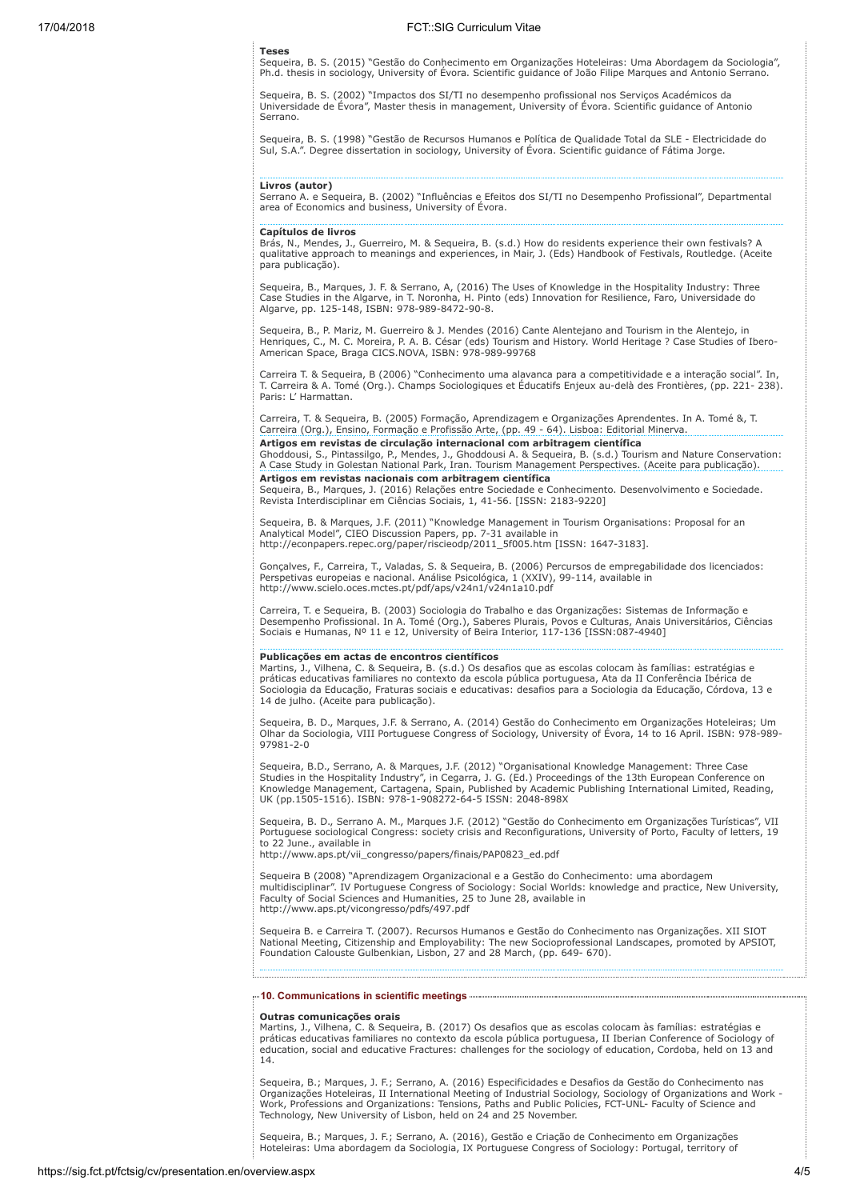#### Teses

Sequeira, B. S. (2015) "Gestão do Conhecimento em Organizações Hoteleiras: Uma Abordagem da Sociologia", Ph.d. thesis in sociology, University of Évora. Scientific guidance of João Filipe Marques and Antonio Serrano.

Sequeira, B. S. (2002) "Impactos dos SI/TI no desempenho profissional nos Serviços Académicos da Universidade de Évora", Master thesis in management, University of Évora. Scientific guidance of Antonio Serrano.

Sequeira, B. S. (1998) "Gestão de Recursos Humanos e Política de Qualidade Total da SLE - Electricidade do Sul, S.A.". Degree dissertation in sociology, University of Évora. Scientific guidance of Fátima Jorge.

**Livros (autor)**<br>Serrano A. e Sequeira, B. (2002) "Influências e Efeitos dos SI/TI no Desempenho Profissional", Departmental area of Economics and business, University of Évora.

#### Capítulos de livros

Brás, N., Mendes, J., Guerreiro, M. & Sequeira, B. (s.d.) How do residents experience their own festivals? A qualitative approach to meanings and experiences, in Mair, J. (Eds) Handbook of Festivals, Routledge. (Aceite para publicação).

Sequeira, B., Marques, J. F. & Serrano, A, (2016) The Uses of Knowledge in the Hospitality Industry: Three Case Studies in the Algarve, in T. Noronha, H. Pinto (eds) Innovation for Resilience, Faro, Universidade do Algarve, pp. 125-148, ISBN: 978-989-8472-90-8.

Sequeira, B., P. Mariz, M. Guerreiro & J. Mendes (2016) Cante Alentejano and Tourism in the Alentejo, in<br>Henriques, C., M. C. Moreira, P. A. B. César (eds) Tourism and History. World Heritage ? Case Studies of Ibero-<br>Ameri

Carreira T. & Sequeira, B (2006) "Conhecimento uma alavanca para a competitividade e a interação social". In, T. Carreira & A. Tomé (Org.). Champs Sociologiques et Éducatifs Enjeux au-delà des Frontières, (pp. 221- 238). Paris: L' Harmattan.

Carreira, T. & Sequeira, B. (2005) Formação, Aprendizagem e Organizações Aprendentes. In A. Tomé &, T. Carreira (Org.), Ensino, Formação e Profissão Arte, (pp. 49 - 64). Lisboa: Editorial Minerva.

Artigos em revistas de circulação internacional com arbitragem científica Ghoddousi, S., Pintassilgo, P., Mendes, J., Ghoddousi A. & Sequeira, B. (s.d.) Tourism and Nature Conservation: A Case Study in Golestan National Park, Iran. Tourism Management Perspectives. (Aceite para publicação). Artigos em revistas nacionais com arbitragem científica

Sequeira, B., Marques, J. (2016) Relações entre Sociedade e Conhecimento. Desenvolvimento e Sociedade. Revista Interdisciplinar em Ciências Sociais, 1, 41-56. [ISSN: 2183-9220]

Sequeira, B. & Marques, J.F. (2011) "Knowledge Management in Tourism Organisations: Proposal for an Analytical Model", CIEO Discussion Papers, pp. 7-31 available in http://econpapers.repec.org/paper/riscieodp/2011\_5f005.htm [ISSN: 1647-3183].

Gonçalves, F., Carreira, T., Valadas, S. & Sequeira, B. (2006) Percursos de empregabilidade dos licenciados:<br>Perspetivas europeias e nacional. Análise Psicológica, 1 (XXIV), 99-114, available in<br>http://www.scielo.oces.mcte

Carreira, T. e Sequeira, B. (2003) Sociologia do Trabalho e das Organizações: Sistemas de Informação e Desempenho Profissional. In A. Tomé (Org.), Saberes Plurais, Povos e Culturas, Anais Universitários, Ciências Sociais e Humanas, Nº 11 e 12, University of Beira Interior, 117-136 [ISSN:087-4940]

### Publicações em actas de encontros científicos

Martins, J., Vilhena, C. & Sequeira, B. (s.d.) Os desafios que as escolas colocam às famílias: estratégias e práticas educativas familiares no contexto da escola pública portuguesa, Ata da II Conferência Ibérica de Sociologia da Educação, Fraturas sociais e educativas: desafios para a Sociologia da Educação, Córdova, 13 e 14 de julho. (Aceite para publicação).

Sequeira, B. D., Marques, J.F. & Serrano, A. (2014) Gestão do Conhecimento em Organizações Hoteleiras; Um Olhar da Sociologia, VIII Portuguese Congress of Sociology, University of Évora, 14 to 16 April. ISBN: 978-989- 97981-2-0

Sequeira, B.D., Serrano, A. & Marques, J.F. (2012) "Organisational Knowledge Management: Three Case<br>Studies in the Hospitality Industry", in Cegarra, J. G. (Ed.) Proceedings of the 13th European Conference on<br>Knowledge Man UK (pp.1505-1516). ISBN: 978-1-908272-64-5 ISSN: 2048-898X

Sequeira, B. D., Serrano A. M., Marques J.F. (2012) "Gestão do Conhecimento em Organizações Turísticas", VII Portuguese sociological Congress: society crisis and Reconfigurations, University of Porto, Faculty of letters, 19 to 22 June., available in

http://www.aps.pt/vii\_congresso/papers/finais/PAP0823\_ed.pdf

Sequeira B (2008) "Aprendizagem Organizacional e a Gestão do Conhecimento: uma abordagem multidisciplinar". IV Portuguese Congress of Sociology: Social Worlds: knowledge and practice, New University, Faculty of Social Sciences and Humanities, 25 to June 28, available in http://www.aps.pt/vicongresso/pdfs/497.pdf

Sequeira B. e Carreira T. (2007). Recursos Humanos e Gestão do Conhecimento nas Organizações. XII SIOT National Meeting, Citizenship and Employability: The new Socioprofessional Landscapes, promoted by APSIOT, Foundation Calouste Gulbenkian, Lisbon, 27 and 28 March, (pp. 649- 670).

# 10. Communications in scientific meetings

#### Outras comunicações orais

Martins, J., Vilhena, C. & Sequeira, B. (2017) Os desafios que as escolas colocam às famílias: estratégias e práticas educativas familiares no contexto da escola pública portuguesa, II Iberian Conference of Sociology of education, social and educative Fractures: challenges for the sociology of education, Cordoba, held on 13 and 14.

Sequeira, B.; Marques, J. F.; Serrano, A. (2016) Especificidades e Desafios da Gestão do Conhecimento nas Organizações Hoteleiras, II International Meeting of Industrial Sociology, Sociology of Organizations and Work - Work, Professions and Organizations: Tensions, Paths and Public Policies, FCT-UNL- Faculty of Science and Technology, New University of Lisbon, held on 24 and 25 November.

Sequeira, B.; Marques, J. F.; Serrano, A. (2016), Gestão e Criação de Conhecimento em Organizações Hoteleiras: Uma abordagem da Sociologia, IX Portuguese Congress of Sociology: Portugal, territory of